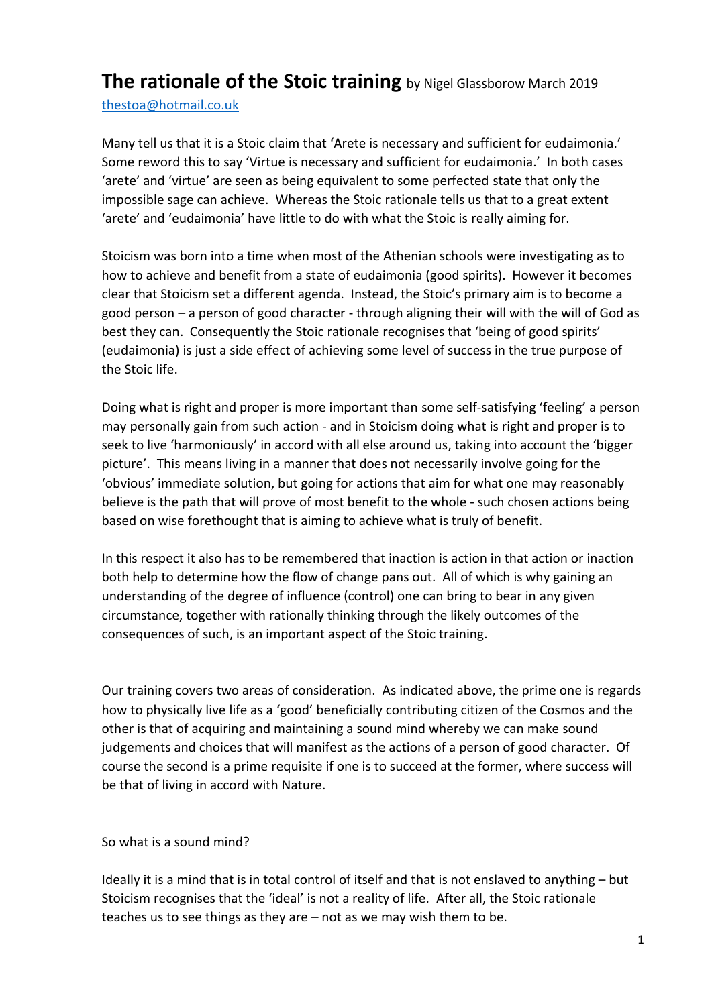## **The rationale of the Stoic training** by Nigel Glassborow March 2019

[thestoa@hotmail.co.uk](mailto:thestoa@hotmail.co.uk) 

Many tell us that it is a Stoic claim that 'Arete is necessary and sufficient for eudaimonia.' Some reword this to say 'Virtue is necessary and sufficient for eudaimonia.' In both cases 'arete' and 'virtue' are seen as being equivalent to some perfected state that only the impossible sage can achieve. Whereas the Stoic rationale tells us that to a great extent 'arete' and 'eudaimonia' have little to do with what the Stoic is really aiming for.

Stoicism was born into a time when most of the Athenian schools were investigating as to how to achieve and benefit from a state of eudaimonia (good spirits). However it becomes clear that Stoicism set a different agenda. Instead, the Stoic's primary aim is to become a good person – a person of good character - through aligning their will with the will of God as best they can. Consequently the Stoic rationale recognises that 'being of good spirits' (eudaimonia) is just a side effect of achieving some level of success in the true purpose of the Stoic life.

Doing what is right and proper is more important than some self-satisfying 'feeling' a person may personally gain from such action - and in Stoicism doing what is right and proper is to seek to live 'harmoniously' in accord with all else around us, taking into account the 'bigger picture'. This means living in a manner that does not necessarily involve going for the 'obvious' immediate solution, but going for actions that aim for what one may reasonably believe is the path that will prove of most benefit to the whole - such chosen actions being based on wise forethought that is aiming to achieve what is truly of benefit.

In this respect it also has to be remembered that inaction is action in that action or inaction both help to determine how the flow of change pans out. All of which is why gaining an understanding of the degree of influence (control) one can bring to bear in any given circumstance, together with rationally thinking through the likely outcomes of the consequences of such, is an important aspect of the Stoic training.

Our training covers two areas of consideration. As indicated above, the prime one is regards how to physically live life as a 'good' beneficially contributing citizen of the Cosmos and the other is that of acquiring and maintaining a sound mind whereby we can make sound judgements and choices that will manifest as the actions of a person of good character. Of course the second is a prime requisite if one is to succeed at the former, where success will be that of living in accord with Nature.

So what is a sound mind?

Ideally it is a mind that is in total control of itself and that is not enslaved to anything – but Stoicism recognises that the 'ideal' is not a reality of life. After all, the Stoic rationale teaches us to see things as they are – not as we may wish them to be.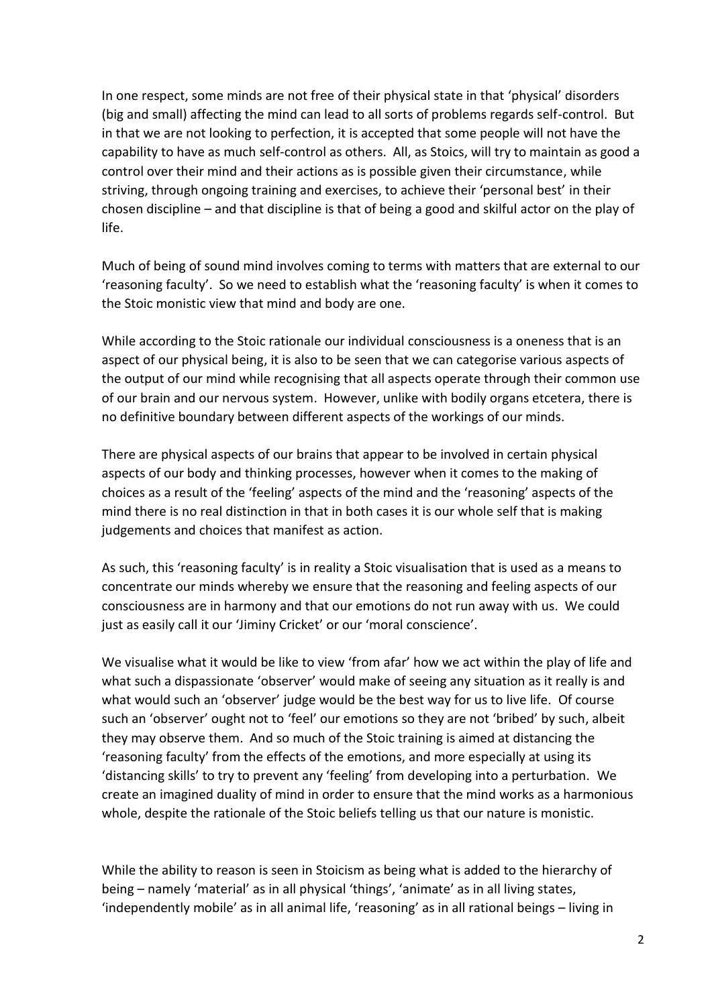In one respect, some minds are not free of their physical state in that 'physical' disorders (big and small) affecting the mind can lead to all sorts of problems regards self-control. But in that we are not looking to perfection, it is accepted that some people will not have the capability to have as much self-control as others. All, as Stoics, will try to maintain as good a control over their mind and their actions as is possible given their circumstance, while striving, through ongoing training and exercises, to achieve their 'personal best' in their chosen discipline – and that discipline is that of being a good and skilful actor on the play of life.

Much of being of sound mind involves coming to terms with matters that are external to our 'reasoning faculty'. So we need to establish what the 'reasoning faculty' is when it comes to the Stoic monistic view that mind and body are one.

While according to the Stoic rationale our individual consciousness is a oneness that is an aspect of our physical being, it is also to be seen that we can categorise various aspects of the output of our mind while recognising that all aspects operate through their common use of our brain and our nervous system. However, unlike with bodily organs etcetera, there is no definitive boundary between different aspects of the workings of our minds.

There are physical aspects of our brains that appear to be involved in certain physical aspects of our body and thinking processes, however when it comes to the making of choices as a result of the 'feeling' aspects of the mind and the 'reasoning' aspects of the mind there is no real distinction in that in both cases it is our whole self that is making judgements and choices that manifest as action.

As such, this 'reasoning faculty' is in reality a Stoic visualisation that is used as a means to concentrate our minds whereby we ensure that the reasoning and feeling aspects of our consciousness are in harmony and that our emotions do not run away with us. We could just as easily call it our 'Jiminy Cricket' or our 'moral conscience'.

We visualise what it would be like to view 'from afar' how we act within the play of life and what such a dispassionate 'observer' would make of seeing any situation as it really is and what would such an 'observer' judge would be the best way for us to live life. Of course such an 'observer' ought not to 'feel' our emotions so they are not 'bribed' by such, albeit they may observe them. And so much of the Stoic training is aimed at distancing the 'reasoning faculty' from the effects of the emotions, and more especially at using its 'distancing skills' to try to prevent any 'feeling' from developing into a perturbation. We create an imagined duality of mind in order to ensure that the mind works as a harmonious whole, despite the rationale of the Stoic beliefs telling us that our nature is monistic.

While the ability to reason is seen in Stoicism as being what is added to the hierarchy of being – namely 'material' as in all physical 'things', 'animate' as in all living states, 'independently mobile' as in all animal life, 'reasoning' as in all rational beings – living in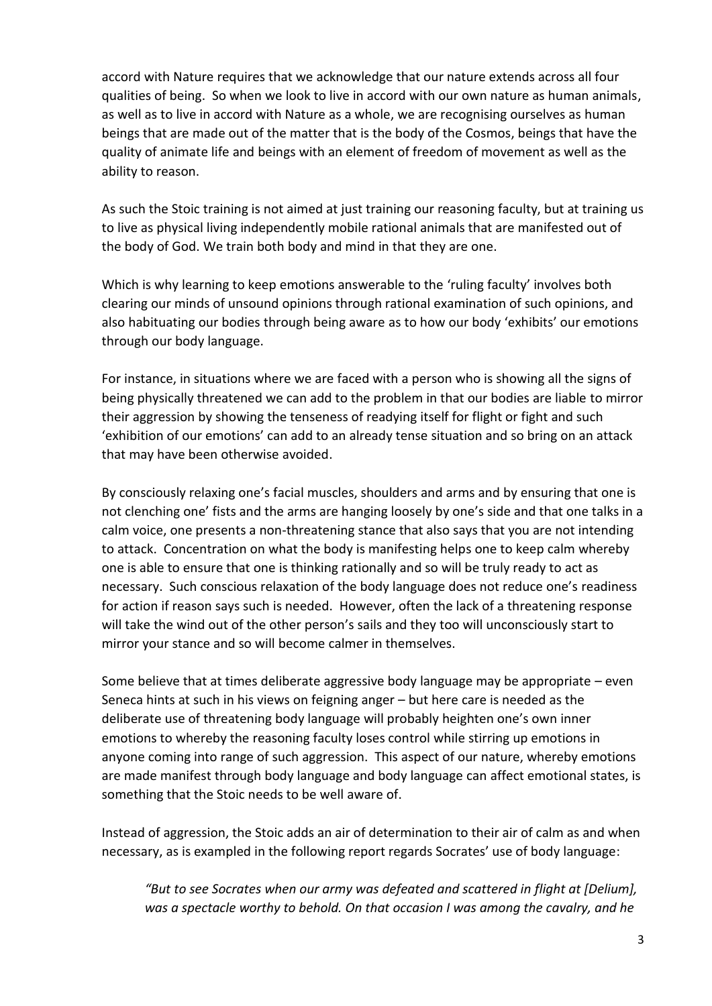accord with Nature requires that we acknowledge that our nature extends across all four qualities of being. So when we look to live in accord with our own nature as human animals, as well as to live in accord with Nature as a whole, we are recognising ourselves as human beings that are made out of the matter that is the body of the Cosmos, beings that have the quality of animate life and beings with an element of freedom of movement as well as the ability to reason.

As such the Stoic training is not aimed at just training our reasoning faculty, but at training us to live as physical living independently mobile rational animals that are manifested out of the body of God. We train both body and mind in that they are one.

Which is why learning to keep emotions answerable to the 'ruling faculty' involves both clearing our minds of unsound opinions through rational examination of such opinions, and also habituating our bodies through being aware as to how our body 'exhibits' our emotions through our body language.

For instance, in situations where we are faced with a person who is showing all the signs of being physically threatened we can add to the problem in that our bodies are liable to mirror their aggression by showing the tenseness of readying itself for flight or fight and such 'exhibition of our emotions' can add to an already tense situation and so bring on an attack that may have been otherwise avoided.

By consciously relaxing one's facial muscles, shoulders and arms and by ensuring that one is not clenching one' fists and the arms are hanging loosely by one's side and that one talks in a calm voice, one presents a non-threatening stance that also says that you are not intending to attack. Concentration on what the body is manifesting helps one to keep calm whereby one is able to ensure that one is thinking rationally and so will be truly ready to act as necessary. Such conscious relaxation of the body language does not reduce one's readiness for action if reason says such is needed. However, often the lack of a threatening response will take the wind out of the other person's sails and they too will unconsciously start to mirror your stance and so will become calmer in themselves.

Some believe that at times deliberate aggressive body language may be appropriate – even Seneca hints at such in his views on feigning anger – but here care is needed as the deliberate use of threatening body language will probably heighten one's own inner emotions to whereby the reasoning faculty loses control while stirring up emotions in anyone coming into range of such aggression. This aspect of our nature, whereby emotions are made manifest through body language and body language can affect emotional states, is something that the Stoic needs to be well aware of.

Instead of aggression, the Stoic adds an air of determination to their air of calm as and when necessary, as is exampled in the following report regards Socrates' use of body language:

*"But to see Socrates when our army was defeated and scattered in flight at [Delium], was a spectacle worthy to behold. On that occasion I was among the cavalry, and he*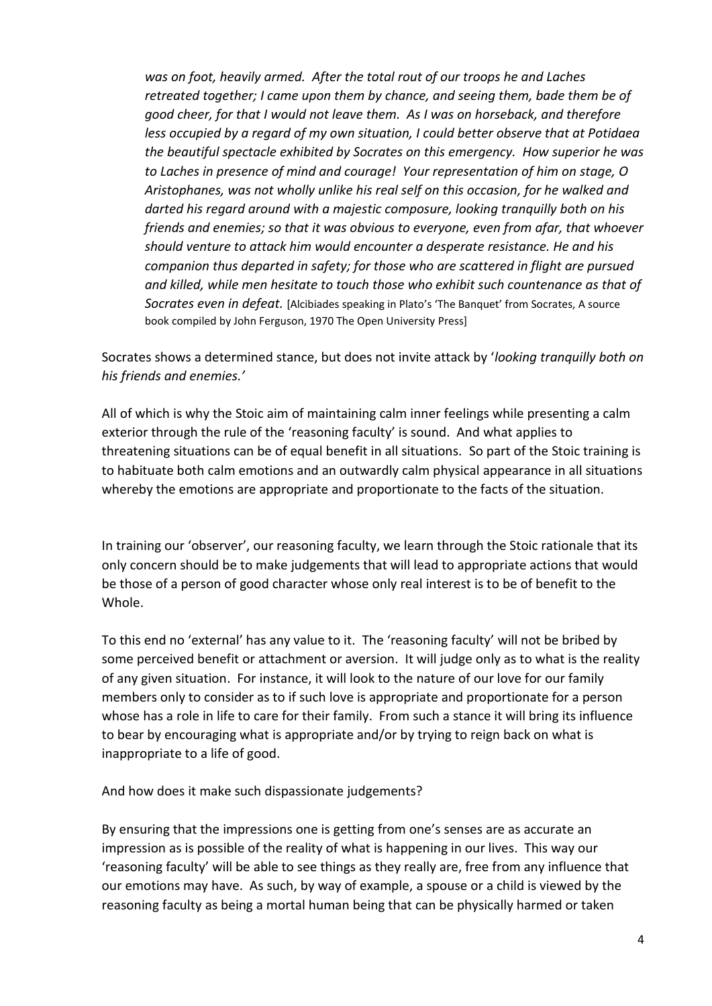*was on foot, heavily armed. After the total rout of our troops he and Laches retreated together; I came upon them by chance, and seeing them, bade them be of good cheer, for that I would not leave them. As I was on horseback, and therefore less occupied by a regard of my own situation, I could better observe that at Potidaea the beautiful spectacle exhibited by Socrates on this emergency. How superior he was to Laches in presence of mind and courage! Your representation of him on stage, O Aristophanes, was not wholly unlike his real self on this occasion, for he walked and darted his regard around with a majestic composure, looking tranquilly both on his friends and enemies; so that it was obvious to everyone, even from afar, that whoever should venture to attack him would encounter a desperate resistance. He and his companion thus departed in safety; for those who are scattered in flight are pursued and killed, while men hesitate to touch those who exhibit such countenance as that of Socrates even in defeat.* [Alcibiades speaking in Plato's 'The Banquet' from Socrates, A source book compiled by John Ferguson, 1970 The Open University Press]

Socrates shows a determined stance, but does not invite attack by '*looking tranquilly both on his friends and enemies.'*

All of which is why the Stoic aim of maintaining calm inner feelings while presenting a calm exterior through the rule of the 'reasoning faculty' is sound. And what applies to threatening situations can be of equal benefit in all situations. So part of the Stoic training is to habituate both calm emotions and an outwardly calm physical appearance in all situations whereby the emotions are appropriate and proportionate to the facts of the situation.

In training our 'observer', our reasoning faculty, we learn through the Stoic rationale that its only concern should be to make judgements that will lead to appropriate actions that would be those of a person of good character whose only real interest is to be of benefit to the Whole.

To this end no 'external' has any value to it. The 'reasoning faculty' will not be bribed by some perceived benefit or attachment or aversion. It will judge only as to what is the reality of any given situation. For instance, it will look to the nature of our love for our family members only to consider as to if such love is appropriate and proportionate for a person whose has a role in life to care for their family. From such a stance it will bring its influence to bear by encouraging what is appropriate and/or by trying to reign back on what is inappropriate to a life of good.

And how does it make such dispassionate judgements?

By ensuring that the impressions one is getting from one's senses are as accurate an impression as is possible of the reality of what is happening in our lives. This way our 'reasoning faculty' will be able to see things as they really are, free from any influence that our emotions may have. As such, by way of example, a spouse or a child is viewed by the reasoning faculty as being a mortal human being that can be physically harmed or taken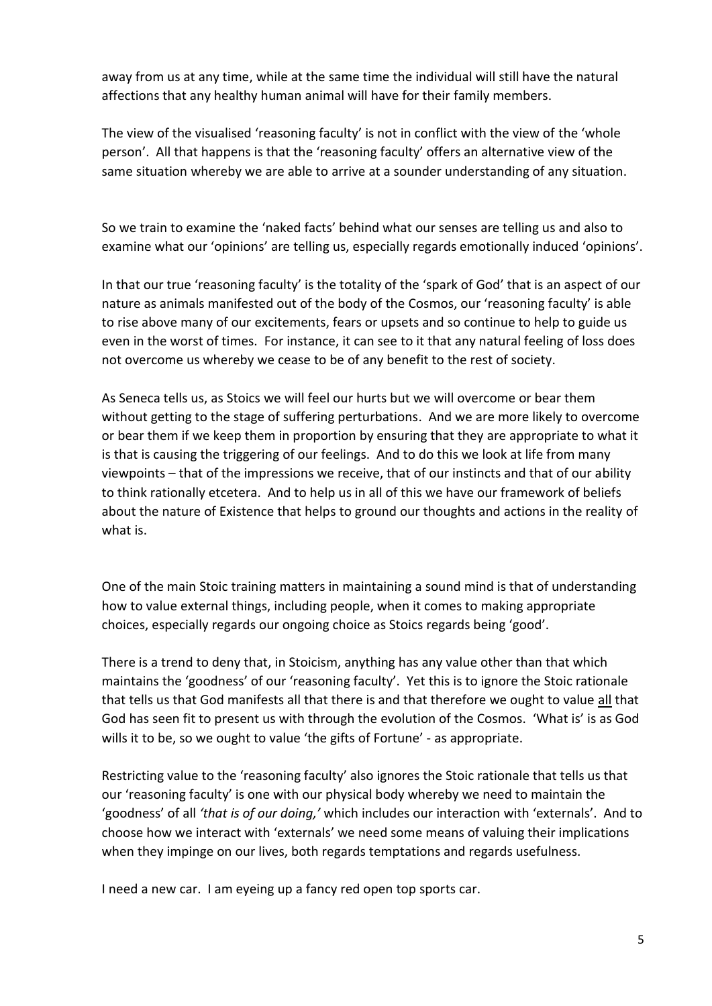away from us at any time, while at the same time the individual will still have the natural affections that any healthy human animal will have for their family members.

The view of the visualised 'reasoning faculty' is not in conflict with the view of the 'whole person'. All that happens is that the 'reasoning faculty' offers an alternative view of the same situation whereby we are able to arrive at a sounder understanding of any situation.

So we train to examine the 'naked facts' behind what our senses are telling us and also to examine what our 'opinions' are telling us, especially regards emotionally induced 'opinions'.

In that our true 'reasoning faculty' is the totality of the 'spark of God' that is an aspect of our nature as animals manifested out of the body of the Cosmos, our 'reasoning faculty' is able to rise above many of our excitements, fears or upsets and so continue to help to guide us even in the worst of times. For instance, it can see to it that any natural feeling of loss does not overcome us whereby we cease to be of any benefit to the rest of society.

As Seneca tells us, as Stoics we will feel our hurts but we will overcome or bear them without getting to the stage of suffering perturbations. And we are more likely to overcome or bear them if we keep them in proportion by ensuring that they are appropriate to what it is that is causing the triggering of our feelings. And to do this we look at life from many viewpoints – that of the impressions we receive, that of our instincts and that of our ability to think rationally etcetera. And to help us in all of this we have our framework of beliefs about the nature of Existence that helps to ground our thoughts and actions in the reality of what is.

One of the main Stoic training matters in maintaining a sound mind is that of understanding how to value external things, including people, when it comes to making appropriate choices, especially regards our ongoing choice as Stoics regards being 'good'.

There is a trend to deny that, in Stoicism, anything has any value other than that which maintains the 'goodness' of our 'reasoning faculty'. Yet this is to ignore the Stoic rationale that tells us that God manifests all that there is and that therefore we ought to value all that God has seen fit to present us with through the evolution of the Cosmos. 'What is' is as God wills it to be, so we ought to value 'the gifts of Fortune' - as appropriate.

Restricting value to the 'reasoning faculty' also ignores the Stoic rationale that tells us that our 'reasoning faculty' is one with our physical body whereby we need to maintain the 'goodness' of all *'that is of our doing,'* which includes our interaction with 'externals'. And to choose how we interact with 'externals' we need some means of valuing their implications when they impinge on our lives, both regards temptations and regards usefulness.

I need a new car. I am eyeing up a fancy red open top sports car.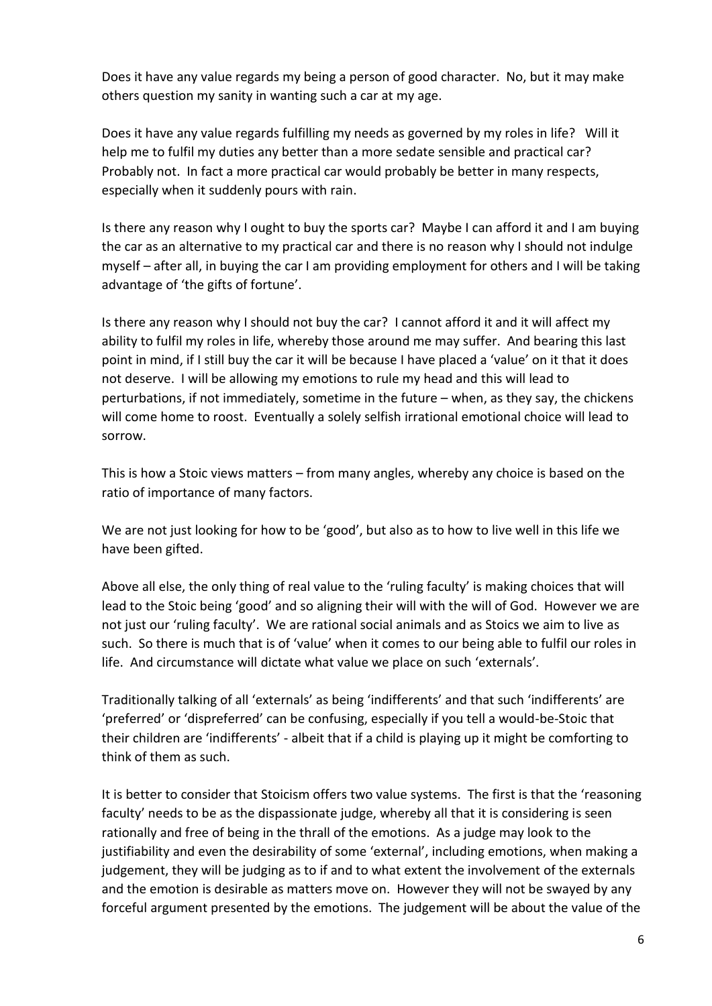Does it have any value regards my being a person of good character. No, but it may make others question my sanity in wanting such a car at my age.

Does it have any value regards fulfilling my needs as governed by my roles in life? Will it help me to fulfil my duties any better than a more sedate sensible and practical car? Probably not. In fact a more practical car would probably be better in many respects, especially when it suddenly pours with rain.

Is there any reason why I ought to buy the sports car? Maybe I can afford it and I am buying the car as an alternative to my practical car and there is no reason why I should not indulge myself – after all, in buying the car I am providing employment for others and I will be taking advantage of 'the gifts of fortune'.

Is there any reason why I should not buy the car? I cannot afford it and it will affect my ability to fulfil my roles in life, whereby those around me may suffer. And bearing this last point in mind, if I still buy the car it will be because I have placed a 'value' on it that it does not deserve. I will be allowing my emotions to rule my head and this will lead to perturbations, if not immediately, sometime in the future – when, as they say, the chickens will come home to roost. Eventually a solely selfish irrational emotional choice will lead to sorrow.

This is how a Stoic views matters – from many angles, whereby any choice is based on the ratio of importance of many factors.

We are not just looking for how to be 'good', but also as to how to live well in this life we have been gifted.

Above all else, the only thing of real value to the 'ruling faculty' is making choices that will lead to the Stoic being 'good' and so aligning their will with the will of God. However we are not just our 'ruling faculty'. We are rational social animals and as Stoics we aim to live as such. So there is much that is of 'value' when it comes to our being able to fulfil our roles in life. And circumstance will dictate what value we place on such 'externals'.

Traditionally talking of all 'externals' as being 'indifferents' and that such 'indifferents' are 'preferred' or 'dispreferred' can be confusing, especially if you tell a would-be-Stoic that their children are 'indifferents' - albeit that if a child is playing up it might be comforting to think of them as such.

It is better to consider that Stoicism offers two value systems. The first is that the 'reasoning faculty' needs to be as the dispassionate judge, whereby all that it is considering is seen rationally and free of being in the thrall of the emotions. As a judge may look to the justifiability and even the desirability of some 'external', including emotions, when making a judgement, they will be judging as to if and to what extent the involvement of the externals and the emotion is desirable as matters move on. However they will not be swayed by any forceful argument presented by the emotions. The judgement will be about the value of the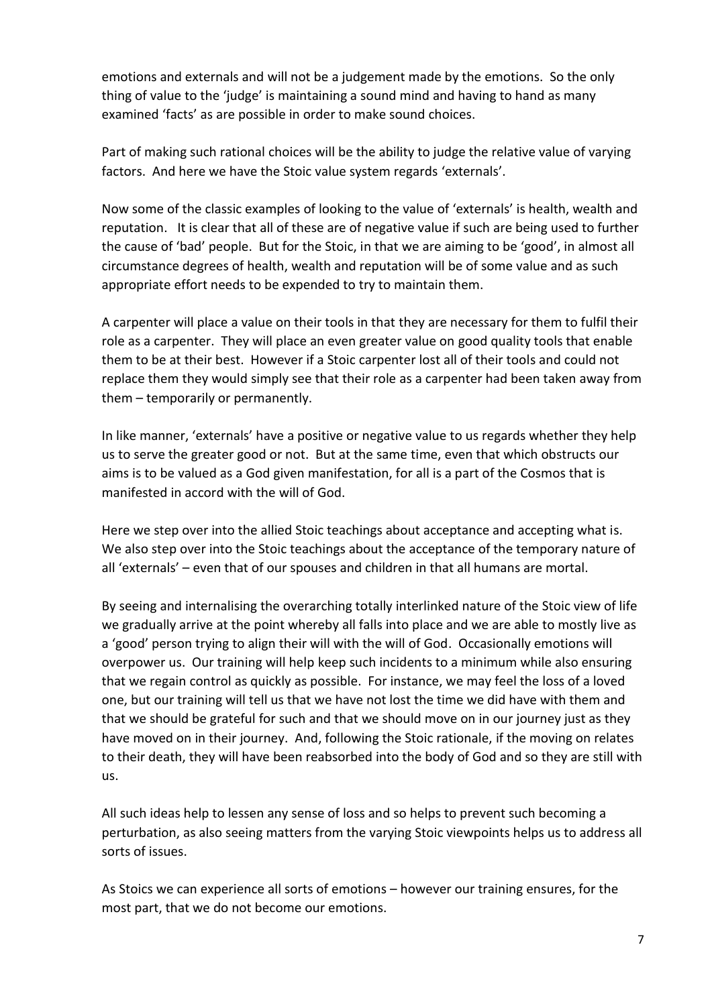emotions and externals and will not be a judgement made by the emotions. So the only thing of value to the 'judge' is maintaining a sound mind and having to hand as many examined 'facts' as are possible in order to make sound choices.

Part of making such rational choices will be the ability to judge the relative value of varying factors. And here we have the Stoic value system regards 'externals'.

Now some of the classic examples of looking to the value of 'externals' is health, wealth and reputation. It is clear that all of these are of negative value if such are being used to further the cause of 'bad' people. But for the Stoic, in that we are aiming to be 'good', in almost all circumstance degrees of health, wealth and reputation will be of some value and as such appropriate effort needs to be expended to try to maintain them.

A carpenter will place a value on their tools in that they are necessary for them to fulfil their role as a carpenter. They will place an even greater value on good quality tools that enable them to be at their best. However if a Stoic carpenter lost all of their tools and could not replace them they would simply see that their role as a carpenter had been taken away from them – temporarily or permanently.

In like manner, 'externals' have a positive or negative value to us regards whether they help us to serve the greater good or not. But at the same time, even that which obstructs our aims is to be valued as a God given manifestation, for all is a part of the Cosmos that is manifested in accord with the will of God.

Here we step over into the allied Stoic teachings about acceptance and accepting what is. We also step over into the Stoic teachings about the acceptance of the temporary nature of all 'externals' – even that of our spouses and children in that all humans are mortal.

By seeing and internalising the overarching totally interlinked nature of the Stoic view of life we gradually arrive at the point whereby all falls into place and we are able to mostly live as a 'good' person trying to align their will with the will of God. Occasionally emotions will overpower us. Our training will help keep such incidents to a minimum while also ensuring that we regain control as quickly as possible. For instance, we may feel the loss of a loved one, but our training will tell us that we have not lost the time we did have with them and that we should be grateful for such and that we should move on in our journey just as they have moved on in their journey. And, following the Stoic rationale, if the moving on relates to their death, they will have been reabsorbed into the body of God and so they are still with us.

All such ideas help to lessen any sense of loss and so helps to prevent such becoming a perturbation, as also seeing matters from the varying Stoic viewpoints helps us to address all sorts of issues.

As Stoics we can experience all sorts of emotions – however our training ensures, for the most part, that we do not become our emotions.